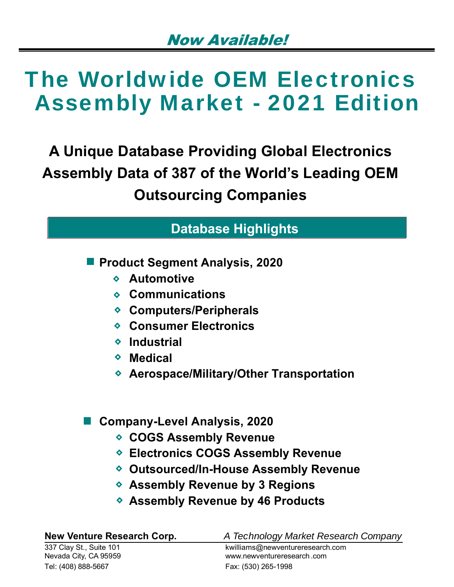**A Unique Database Providing Global Electronics Assembly Data of 387 of the World's Leading OEM Outsourcing Companies**

## **Database Highlights**

**Product Segment Analysis, 2020**

- **Automotive**
- **Communications**
- **Computers/Peripherals**
- **Consumer Electronics**
- **Industrial**
- **Medical**
- **Aerospace/Military/Other Transportation**

### **Company-Level Analysis, 2020**

- **COGS Assembly Revenue**
- **Electronics COGS Assembly Revenue**
- **Outsourced/In-House Assembly Revenue**
- **Assembly Revenue by 3 Regions**
- **Assembly Revenue by 46 Products**

337 Clay St., Suite 101 kwilliams@newventureresearch.com Nevada City, CA 95959 www.newventureresearch .com Tel: (408) 888-5667 Fax: (530) 265-1998

**New Venture Research Corp.** *A Technology Market Research Company*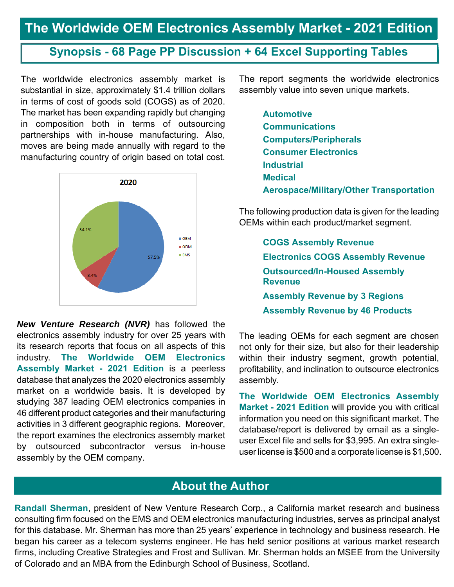### **Synopsis - 68 Page PP Discussion + 64 Excel Supporting Tables**

The worldwide electronics assembly market is substantial in size, approximately \$1.4 trillion dollars in terms of cost of goods sold (COGS) as of 2020. The market has been expanding rapidly but changing in composition both in terms of outsourcing partnerships with in-house manufacturing. Also, moves are being made annually with regard to the manufacturing country of origin based on total cost.



*New Venture Research (NVR)* has followed the electronics assembly industry for over 25 years with its research reports that focus on all aspects of this industry. **The Worldwide OEM Electronics Assembly Market - 2021 Edition** is a peerless database that analyzes the 2020 electronics assembly market on a worldwide basis. It is developed by studying 387 leading OEM electronics companies in 46 different product categories and their manufacturing activities in 3 different geographic regions. Moreover, the report examines the electronics assembly market by outsourced subcontractor versus in-house assembly by the OEM company.

The report segments the worldwide electronics assembly value into seven unique markets.

**Automotive Communications Computers/Peripherals Consumer Electronics Industrial Medical Aerospace/Military/Other Transportation**

The following production data is given for the leading OEMs within each product/market segment.

> **COGS Assembly Revenue Electronics COGS Assembly Revenue Outsourced/In-Housed Assembly Revenue Assembly Revenue by 3 Regions Assembly Revenue by 46 Products**

The leading OEMs for each segment are chosen not only for their size, but also for their leadership within their industry segment, growth potential, profitability, and inclination to outsource electronics assembly.

**The Worldwide OEM Electronics Assembly Market - 2021 Edition** will provide you with critical information you need on this significant market. The database/report is delivered by email as a singleuser Excel file and sells for \$3,995. An extra singleuser license is \$500 and a corporate license is \$1,500.

### **About the Author**

**Randall Sherman**, president of New Venture Research Corp., a California market research and business consulting firm focused on the EMS and OEM electronics manufacturing industries, serves as principal analyst for this database. Mr. Sherman has more than 25 years' experience in technology and business research. He began his career as a telecom systems engineer. He has held senior positions at various market research firms, including Creative Strategies and Frost and Sullivan. Mr. Sherman holds an MSEE from the University of Colorado and an MBA from the Edinburgh School of Business, Scotland.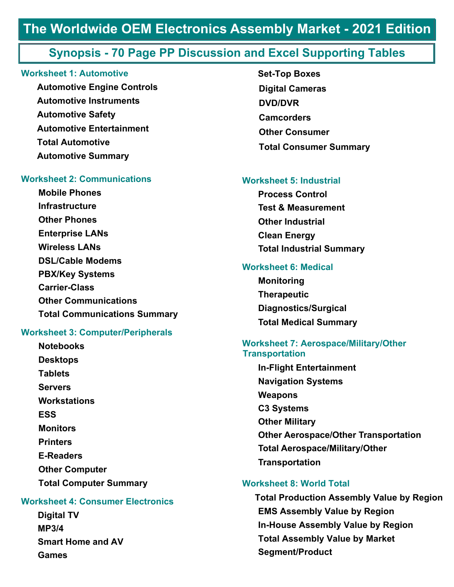### **Synopsis - 70 Page PP Discussion and Excel Supporting Tables**

#### **Worksheet 1: Automotive**

**Automotive Engine Controls Automotive Instruments Automotive Safety Automotive Entertainment Total Automotive Automotive Summary**

### **Worksheet 2: Communications**

**Mobile Phones Infrastructure Other Phones Enterprise LANs Wireless LANs DSL/Cable Modems PBX/Key Systems Carrier-Class Other Communications Total Communications Summary** 

#### **Worksheet 3: Computer/Peripherals**

**Notebooks Desktops Tablets Servers Workstations ESS Monitors Printers E-Readers Other Computer Total Computer Summary** 

### **Worksheet 4: Consumer Electronics**

**Digital TV MP3/4 Smart Home and AV Games**

 **Set-Top Boxes Digital Cameras DVD/DVR Camcorders Other Consumer Total Consumer Summary**

#### **Worksheet 5: Industrial**

**Process Control Test & Measurement Other Industrial Clean Energy Total Industrial Summary**

#### **Worksheet 6: Medical**

**Monitoring Therapeutic Diagnostics/Surgical Total Medical Summary** 

### **Worksheet 7: Aerospace/Military/Other Transportation**

**In-Flight Entertainment Navigation Systems Weapons C3 Systems Other Military Other Aerospace/Other Transportation Total Aerospace/Military/Other Transportation** 

#### **Worksheet 8: World Total**

**Total Production Assembly Value by Region EMS Assembly Value by Region In-House Assembly Value by Region Total Assembly Value by Market Segment/Product**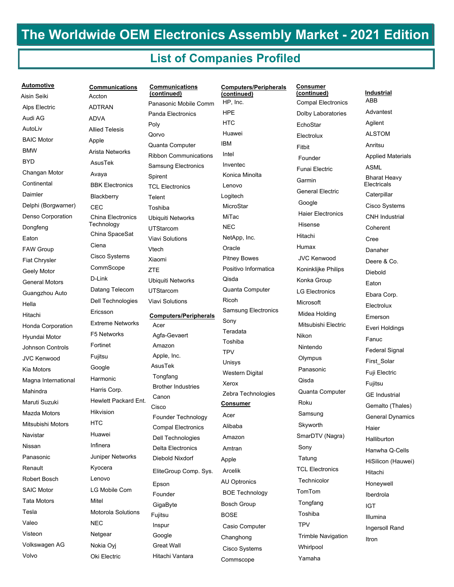### **List of Companies Profiled**

| <b>Automotive</b>        |
|--------------------------|
| Aisin Seiki              |
| <b>Alps Electric</b>     |
| Audi AG                  |
| AutoLiv                  |
| <b>BAIC Motor</b>        |
| BMW                      |
| BYD                      |
| Changan Motor            |
| Continental              |
| Daimler                  |
| Delphi (Borgwarner)      |
| Denso Corporation        |
| Dongfeng                 |
| Eaton                    |
| <b>FAW Group</b>         |
| <b>Fiat Chrysler</b>     |
| Geely Motor              |
| <b>General Motors</b>    |
| Guangzhou Auto           |
| Hella                    |
| Hitachi                  |
| <b>Honda Corporation</b> |
| Hyundai Motor            |
| Johnson Controls         |
| JVC Kenwood              |
| Kia Motors               |
| Magna International      |
| Mahindra                 |
| Maruti Suzuki            |
| Mazda Motors             |
| Mitsubishi Motors        |
| Navistar                 |
| Nissan                   |
| Panasonic                |
| Renault                  |
| Robert Bosch             |
| <b>SAIC Motor</b>        |
| <b>Tata Motors</b>       |
| Tesla                    |
| Valeo                    |
| Visteon                  |
| Volkswagen AG            |
| Volvo                    |

**Communications** Accton ADTRAN ADVA Allied Telesis Apple Arista Networks AsusTek Avaya BBK Electronics **Blackberry CEC**  China Electronics **Technology**  China SpaceSat Ciena Cisco Systems CommScope D-Link Datang Telecom Dell Technologies Ericsson Extreme Networks F5 Networks Fortinet Fujitsu Google Harmonic Harris Corp. Hewlett Packard Ent. Hikvision **HTC**  Huawei Infinera Juniper Networks Kyocera Lenovo LG Mobile Com Mitel Motorola Solutions **NEC**  Netgear Nokia Oyj Oki Electric

 Panasonic Mobile Comm Panda Electronics Poly Qorvo Quanta Computer Ribbon Communications Samsung Electronics Spirent TCL Electronics **Telent**  Toshiba Ubiquiti Networks UTStarcom Viavi Solutions Vtech Xiaomi **ZTE**  Ubiquiti Networks UTStarcom Viavi Solutions **Communications (continued) Computers/Peripherals** Acer Agfa-Gevaert Amazon Apple, Inc. AsusTek Tongfang Brother Industries Canon Cisco Founder Technology Compal Electronics Dell Technologies Delta Electronics Diebold Nixdorf EliteGroup Comp. Sys. Epson Founder **GigaByte** Fujitsu Inspur Google Great Wall

Hitachi Vantara

**Computers/Peripherals (continued) Consumer** HP, Inc. **HPF HTC**  Huawei IBM Intel Inventec Konica Minolta Lenovo Logitech **MicroStar**  MiTac NEC NetApp, Inc. **Oracle**  Pitney Bowes Positivo Informatica Qisda Quanta Computer Ricoh Samsung Electronics Sony Teradata Toshiba TPV Unisys Western Digital Xerox Zebra Technologies Acer Alibaba Amazon Amtran Apple Arcelik AU Optronics BOE Technology Bosch Group BOSE Casio Computer Changhong Cisco Systems Commscope

**Consumer (continued)** Compal Electronics Dolby Laboratories **EchoStar** Electrolux Fitbit Founder Funai Electric Garmin General Electric Google Haier Electronics Hisense Hitachi Humax JVC Kenwood Koninklijke Philips Konka Group LG Electronics Microsoft Midea Holding Mitsubishi Electric Nikon Nintendo **Olympus**  Panasonic Qisda Quanta Computer Roku Samsung **Skyworth** SmarDTV (Nagra) Sony Tatung TCL Electronics Technicolor TomTom Tongfang Toshiba TPV Trimble Navigation Whirlpool Yamaha

#### **Industrial**

**ARR**  Advantest Agilent ALSTOM Anritsu Applied Materials ASML Bharat Heavy **Electricals Caterpillar**  Cisco Systems CNH Industrial Coherent Cree Danaher Deere & Co. Diebold Eaton Ebara Corp. Electrolux Emerson Everi Holdings Fanuc Federal Signal First\_Solar Fuji Electric Fujitsu GE Industrial Gemalto (Thales) General Dynamics Haier **Halliburton**  Hanwha Q-Cells HiSilicon (Hauwei) Hitachi Honeywell Iberdrola IGT Illumina Ingersoll Rand Itron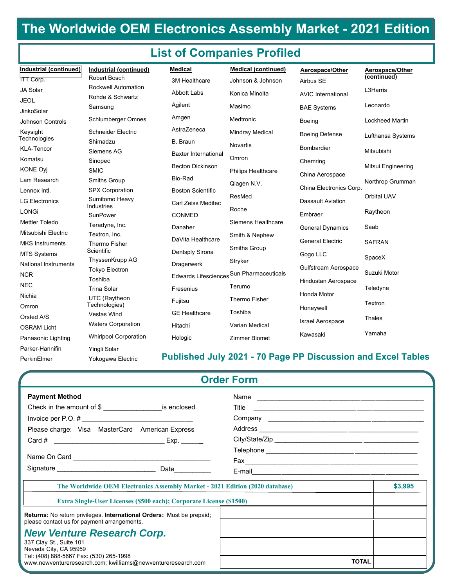## **List of Companies Profiled**

| Industrial (continued)            | Industrial (continued)                   | <b>Medical</b>              | <b>Medical (continued)</b>               | Aerospace/Other           | Aerospace/Other        |
|-----------------------------------|------------------------------------------|-----------------------------|------------------------------------------|---------------------------|------------------------|
| <b>ITT Corp.</b>                  | <b>Robert Bosch</b>                      | 3M Healthcare               | Johnson & Johnson                        | Airbus SE                 | (continued)            |
| JA Solar                          | <b>Rockwell Automation</b>               | <b>Abbott Labs</b>          | Konica Minolta                           | <b>AVIC International</b> | L3Harris               |
| <b>JEOL</b>                       | Rohde & Schwartz<br>Samsung              | Agilent                     | Masimo                                   |                           | Leonardo               |
| <b>JinkoSolar</b>                 |                                          |                             |                                          | <b>BAE Systems</b>        |                        |
| <b>Johnson Controls</b>           | Schlumberger Omnes                       | Amgen                       | Medtronic                                | Boeing                    | <b>Lockheed Martin</b> |
| Keysight                          | <b>Schneider Electric</b>                | AstraZeneca                 | <b>Mindray Medical</b>                   | <b>Boeing Defense</b>     | Lufthansa Systems      |
| Technologies<br><b>KLA-Tencor</b> | Shimadzu                                 | B. Braun                    | <b>Novartis</b>                          | <b>Bombardier</b>         |                        |
|                                   | Siemens AG                               | <b>Baxter International</b> | Omron                                    |                           | Mitsubishi             |
| Komatsu                           | Sinopec                                  | <b>Becton Dickinson</b>     |                                          | Chemring                  | Mitsui Engineering     |
| <b>KONE Ovi</b>                   | <b>SMIC</b>                              | Bio-Rad                     | Philips Healthcare                       | China Aerospace           |                        |
| Lam Research                      | <b>Smiths Group</b>                      |                             | Qiagen N.V.                              | China Electronics Corp.   | Northrop Grumman       |
| Lennox Intl.                      | <b>SPX Corporation</b><br>Sumitomo Heavy | <b>Boston Scientific</b>    | ResMed                                   |                           | Orbital UAV            |
| <b>LG Electronics</b>             | Industries                               | Carl Zeiss Meditec          | Roche                                    | Dassault Aviation         |                        |
| LONGi                             | SunPower                                 | CONMED                      |                                          | Embraer                   | Raytheon               |
| <b>Mettler Toledo</b>             | Teradyne, Inc.                           | Danaher                     | Siemens Healthcare                       | <b>General Dynamics</b>   | Saab                   |
| Mitsubishi Electric               | Textron, Inc.                            | DaVita Healthcare           | Smith & Nephew                           | <b>General Electric</b>   |                        |
| <b>MKS Instruments</b>            | <b>Thermo Fisher</b><br>Scientific       |                             | <b>Smiths Group</b>                      |                           | <b>SAFRAN</b>          |
| <b>MTS Systems</b>                | ThyssenKrupp AG                          | Dentsply Sirona             | Stryker                                  | Gogo LLC                  | SpaceX                 |
| <b>National Instruments</b>       | <b>Tokyo Electron</b>                    | Dragerwerk                  |                                          | Gulfstream Aerospace      |                        |
| <b>NCR</b>                        | Toshiba                                  |                             | Edwards Lifesciences Sun Pharmaceuticals | Hindustan Aerospace       | Suzuki Motor           |
| <b>NEC</b>                        | <b>Trina Solar</b>                       | Fresenius                   | Terumo                                   |                           | Teledyne               |
| Nichia                            | UTC (Raytheon                            | Fujitsu                     | <b>Thermo Fisher</b>                     | Honda Motor               | Textron                |
| Omron                             | Technologies)                            | <b>GE Healthcare</b>        | Toshiba                                  | Honeywell                 |                        |
| Orsted A/S                        | <b>Vestas Wind</b>                       |                             |                                          | Israel Aerospace          | <b>Thales</b>          |
| <b>OSRAM Licht</b>                | <b>Waters Corporation</b>                | Hitachi                     | <b>Varian Medical</b>                    |                           | Yamaha                 |
| Panasonic Lighting                | <b>Whirlpool Corporation</b>             | Hologic                     | <b>Zimmer Biomet</b>                     | Kawasaki                  |                        |
| Parker-Hannifin                   | Yingli Solar                             |                             |                                          |                           |                        |

### **Published July 2021 - 70 Page PP Discussion and Excel Tables**

| <b>Order Form</b><br><b>Payment Method</b><br>Name<br>Title<br>Please charge: Visa MasterCard American Express<br>\$3,995<br>The Worldwide OEM Electronics Assembly Market - 2021 Edition (2020 database)<br><b>Extra Single-User Licenses (\$500 each); Corporate License (\$1500)</b><br>Returns: No return privileges. International Orders: Must be prepaid;<br>please contact us for payment arrangements.<br><b>New Venture Research Corp.</b> |              |  |  |  |  |
|------------------------------------------------------------------------------------------------------------------------------------------------------------------------------------------------------------------------------------------------------------------------------------------------------------------------------------------------------------------------------------------------------------------------------------------------------|--------------|--|--|--|--|
|                                                                                                                                                                                                                                                                                                                                                                                                                                                      |              |  |  |  |  |
| 337 Clay St., Suite 101<br>Nevada City, CA 95959                                                                                                                                                                                                                                                                                                                                                                                                     |              |  |  |  |  |
| Tel: (408) 888-5667 Fax: (530) 265-1998<br>www.newventureresearch.com; kwilliams@newventureresearch.com                                                                                                                                                                                                                                                                                                                                              | <b>TOTAL</b> |  |  |  |  |

PerkinElmer

Yokogawa Electric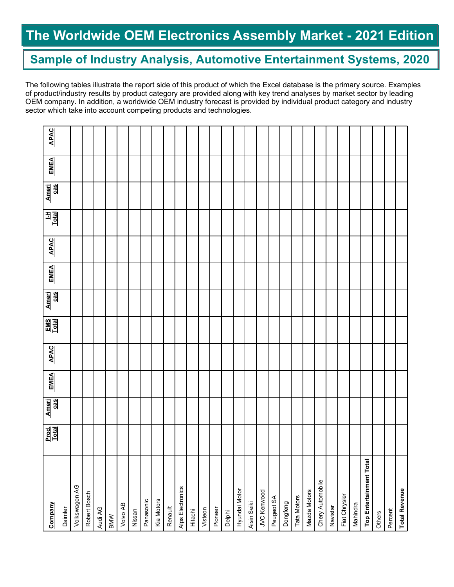### **Sample of Industry Analysis, Automotive Entertainment Systems, 2020**

The following tables illustrate the report side of this product of which the Excel database is the primary source. Examples of product/industry results by product category are provided along with key trend analyses by market sector by leading OEM company. In addition, a worldwide OEM industry forecast is provided by individual product category and industry sector which take into account competing products and technologies.

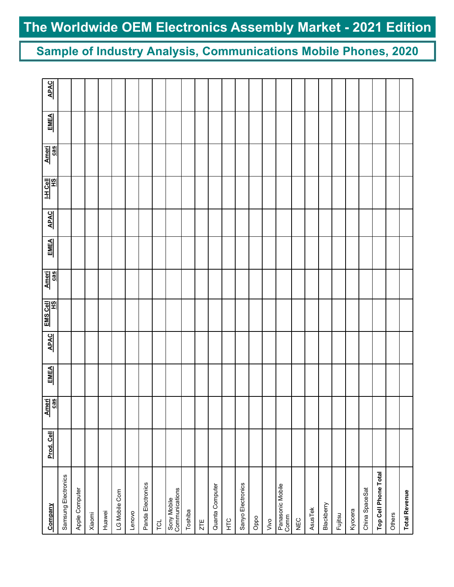**Sample of Industry Analysis, Communications Mobile Phones, 2020**

| Company                       | Prod. Cell | Ameri<br>Cas | <b>EMEA</b> | <b>APAC</b> | EMS Cell | Ameri<br>cas | <b>EMEA</b> | <b>APAC</b> | <u>내 Cell</u><br>쓰 | Ameri<br>cas | <b>EMEA</b> | <b>APAC</b> |
|-------------------------------|------------|--------------|-------------|-------------|----------|--------------|-------------|-------------|--------------------|--------------|-------------|-------------|
| Samsung Electronics           |            |              |             |             |          |              |             |             |                    |              |             |             |
| Apple Computer                |            |              |             |             |          |              |             |             |                    |              |             |             |
| Xiaomi                        |            |              |             |             |          |              |             |             |                    |              |             |             |
| Huawei                        |            |              |             |             |          |              |             |             |                    |              |             |             |
| LG Mobile Com                 |            |              |             |             |          |              |             |             |                    |              |             |             |
| Lenovo                        |            |              |             |             |          |              |             |             |                    |              |             |             |
| Panda Electronics             |            |              |             |             |          |              |             |             |                    |              |             |             |
| <b>TOL</b>                    |            |              |             |             |          |              |             |             |                    |              |             |             |
| Sony Mobile<br>Communications |            |              |             |             |          |              |             |             |                    |              |             |             |
| Toshiba                       |            |              |             |             |          |              |             |             |                    |              |             |             |
| ZTE                           |            |              |             |             |          |              |             |             |                    |              |             |             |
| Quanta Computer               |            |              |             |             |          |              |             |             |                    |              |             |             |
| НLC                           |            |              |             |             |          |              |             |             |                    |              |             |             |
| Sanyo Electronics             |            |              |             |             |          |              |             |             |                    |              |             |             |
| Oppo                          |            |              |             |             |          |              |             |             |                    |              |             |             |
| Vivo                          |            |              |             |             |          |              |             |             |                    |              |             |             |
| Panasonic Mobile<br>Comm      |            |              |             |             |          |              |             |             |                    |              |             |             |
| NEC                           |            |              |             |             |          |              |             |             |                    |              |             |             |
| AsusTek                       |            |              |             |             |          |              |             |             |                    |              |             |             |
| Blackberry                    |            |              |             |             |          |              |             |             |                    |              |             |             |
| Fujitsu                       |            |              |             |             |          |              |             |             |                    |              |             |             |
| Kyocera                       |            |              |             |             |          |              |             |             |                    |              |             |             |
| China SpaceSat                |            |              |             |             |          |              |             |             |                    |              |             |             |
| Top Cell Phone Total          |            |              |             |             |          |              |             |             |                    |              |             |             |
| Others                        |            |              |             |             |          |              |             |             |                    |              |             |             |
| <b>Total Revenue</b>          |            |              |             |             |          |              |             |             |                    |              |             |             |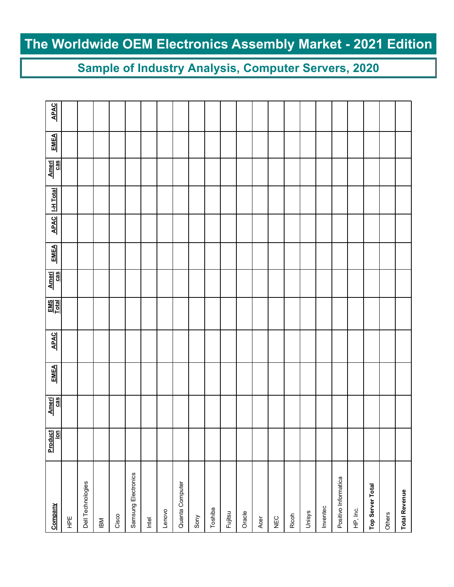## **Sample of Industry Analysis, Computer Servers, 2020**

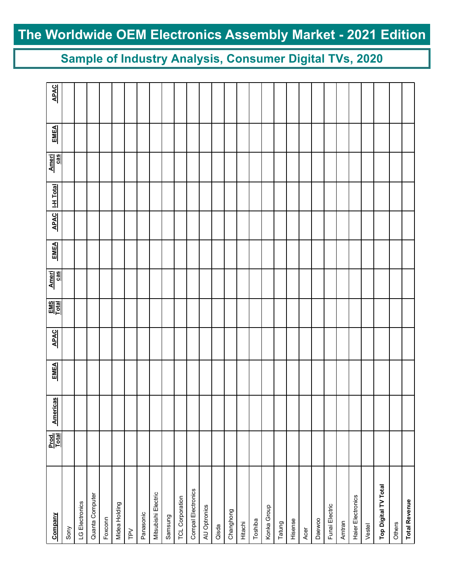**Sample of Industry Analysis, Consumer Digital TVs, 2020**

| Company              | Prod.<br><u>Total</u> | <b>Americas</b> | <b>EMEA</b> | <b>APAC</b> | $\frac{EMS}{Lcal}$ | Ameri<br>Cas | <b>EMEA</b> | <b>APAC</b> | <b>I-H</b> Total | Ameri<br>cas | EMEA | <b>APAC</b> |
|----------------------|-----------------------|-----------------|-------------|-------------|--------------------|--------------|-------------|-------------|------------------|--------------|------|-------------|
| Sony                 |                       |                 |             |             |                    |              |             |             |                  |              |      |             |
| LG Electronics       |                       |                 |             |             |                    |              |             |             |                  |              |      |             |
| Quanta Computer      |                       |                 |             |             |                    |              |             |             |                  |              |      |             |
| Foxconn              |                       |                 |             |             |                    |              |             |             |                  |              |      |             |
| Midea Holding        |                       |                 |             |             |                    |              |             |             |                  |              |      |             |
| $\geq$               |                       |                 |             |             |                    |              |             |             |                  |              |      |             |
| Panasonic            |                       |                 |             |             |                    |              |             |             |                  |              |      |             |
| Mitsubishi Electric  |                       |                 |             |             |                    |              |             |             |                  |              |      |             |
| Samsung              |                       |                 |             |             |                    |              |             |             |                  |              |      |             |
| TCL Corporation      |                       |                 |             |             |                    |              |             |             |                  |              |      |             |
| Compal Electronics   |                       |                 |             |             |                    |              |             |             |                  |              |      |             |
| AU Optronics         |                       |                 |             |             |                    |              |             |             |                  |              |      |             |
| Qisda                |                       |                 |             |             |                    |              |             |             |                  |              |      |             |
| Changhong            |                       |                 |             |             |                    |              |             |             |                  |              |      |             |
| Hitachi              |                       |                 |             |             |                    |              |             |             |                  |              |      |             |
| Toshiba              |                       |                 |             |             |                    |              |             |             |                  |              |      |             |
| Konka Group          |                       |                 |             |             |                    |              |             |             |                  |              |      |             |
| Tatung               |                       |                 |             |             |                    |              |             |             |                  |              |      |             |
| Hisense              |                       |                 |             |             |                    |              |             |             |                  |              |      |             |
| Acer                 |                       |                 |             |             |                    |              |             |             |                  |              |      |             |
| Daewoo               |                       |                 |             |             |                    |              |             |             |                  |              |      |             |
| Funai Electric       |                       |                 |             |             |                    |              |             |             |                  |              |      |             |
| Amtran               |                       |                 |             |             |                    |              |             |             |                  |              |      |             |
| Haier Electronics    |                       |                 |             |             |                    |              |             |             |                  |              |      |             |
| Vestel               |                       |                 |             |             |                    |              |             |             |                  |              |      |             |
| Top Digital TV Total |                       |                 |             |             |                    |              |             |             |                  |              |      |             |
| Others               |                       |                 |             |             |                    |              |             |             |                  |              |      |             |
| <b>Total Revenue</b> |                       |                 |             |             |                    |              |             |             |                  |              |      |             |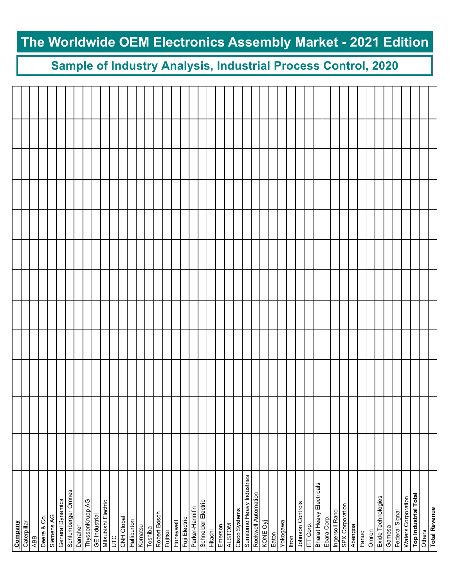## **Sample of Industry Analysis, Industrial Process Control, 2020**

| <b>Company</b>            |  |  |  |  |  |  |
|---------------------------|--|--|--|--|--|--|
| Caterpillar               |  |  |  |  |  |  |
| ABB                       |  |  |  |  |  |  |
| Deere & Co.               |  |  |  |  |  |  |
| Siemens AG                |  |  |  |  |  |  |
| General Dynamics          |  |  |  |  |  |  |
| Schlumberger Omnes        |  |  |  |  |  |  |
| Danaher                   |  |  |  |  |  |  |
| ThyssenKrupp AG           |  |  |  |  |  |  |
| <b>GE</b> Industrial      |  |  |  |  |  |  |
| Mitsubishi Electric       |  |  |  |  |  |  |
| UГC                       |  |  |  |  |  |  |
| CNH Global                |  |  |  |  |  |  |
| Halliburton               |  |  |  |  |  |  |
| Komatsu                   |  |  |  |  |  |  |
| Toshiba                   |  |  |  |  |  |  |
| Robert Bosch              |  |  |  |  |  |  |
| Fujitsu                   |  |  |  |  |  |  |
| Honeywell                 |  |  |  |  |  |  |
| Fuji Electric             |  |  |  |  |  |  |
| Parker-Hannifin           |  |  |  |  |  |  |
| Schneider Electric        |  |  |  |  |  |  |
| Hitachi                   |  |  |  |  |  |  |
| Emerson                   |  |  |  |  |  |  |
| <b>ALSTOM</b>             |  |  |  |  |  |  |
| Cisco Systems             |  |  |  |  |  |  |
| Sumitomo Heavy Industries |  |  |  |  |  |  |
| Rockwell Automation       |  |  |  |  |  |  |
| KONE Oyj                  |  |  |  |  |  |  |
| Eaton                     |  |  |  |  |  |  |
|                           |  |  |  |  |  |  |
| Yokogawa                  |  |  |  |  |  |  |
| Itron                     |  |  |  |  |  |  |
| Johnson Controls          |  |  |  |  |  |  |
| ITT Corp.                 |  |  |  |  |  |  |
| Bharat Heavy Electricals  |  |  |  |  |  |  |
| Ebara Corp.               |  |  |  |  |  |  |
| Ingersoll Rand            |  |  |  |  |  |  |
| SPX Corporation           |  |  |  |  |  |  |
| Abengoa                   |  |  |  |  |  |  |
| Fanuc                     |  |  |  |  |  |  |
| Omron                     |  |  |  |  |  |  |
| Exide Technologies        |  |  |  |  |  |  |
| Gamesa                    |  |  |  |  |  |  |
| Federal Signal            |  |  |  |  |  |  |
| Waters Corporation        |  |  |  |  |  |  |
| Top Industrial Total      |  |  |  |  |  |  |
| Others                    |  |  |  |  |  |  |
| <b>Total Revenue</b>      |  |  |  |  |  |  |
|                           |  |  |  |  |  |  |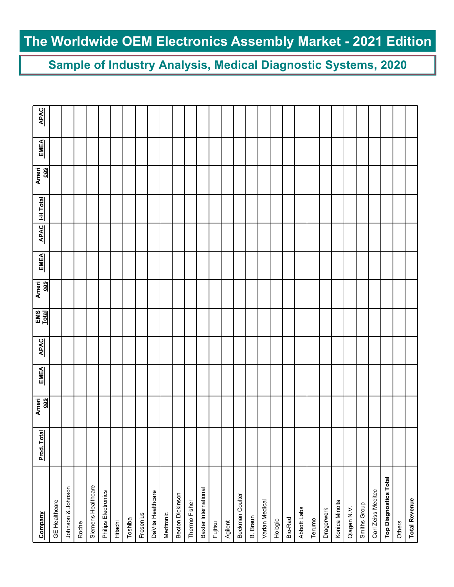**Sample of Industry Analysis, Medical Diagnostic Systems, 2020**

| Company                      | Prod. Total | Ameri<br>cas | <b>EMEA</b> | <b>APAC</b> | $\frac{EMS}{Total}$ | Ameri<br>cas | <b>EMEA</b> | <b>APAC</b> | <b>I-H</b> Total | Ameri<br>cas | <b>EMEA</b> | <b>APAC</b> |
|------------------------------|-------------|--------------|-------------|-------------|---------------------|--------------|-------------|-------------|------------------|--------------|-------------|-------------|
| <b>GE</b> Healthcare         |             |              |             |             |                     |              |             |             |                  |              |             |             |
| Johnson & Johnson            |             |              |             |             |                     |              |             |             |                  |              |             |             |
| Roche                        |             |              |             |             |                     |              |             |             |                  |              |             |             |
| Siemens Healthcare           |             |              |             |             |                     |              |             |             |                  |              |             |             |
| Philips Electronics          |             |              |             |             |                     |              |             |             |                  |              |             |             |
| Hitachi                      |             |              |             |             |                     |              |             |             |                  |              |             |             |
| Toshiba                      |             |              |             |             |                     |              |             |             |                  |              |             |             |
| Fresenius                    |             |              |             |             |                     |              |             |             |                  |              |             |             |
| DaVita Healthcare            |             |              |             |             |                     |              |             |             |                  |              |             |             |
| Medtronic                    |             |              |             |             |                     |              |             |             |                  |              |             |             |
| Becton Dickinson             |             |              |             |             |                     |              |             |             |                  |              |             |             |
| Thermo Fisher                |             |              |             |             |                     |              |             |             |                  |              |             |             |
| Baxter International         |             |              |             |             |                     |              |             |             |                  |              |             |             |
| Fujitsu                      |             |              |             |             |                     |              |             |             |                  |              |             |             |
| Agilent                      |             |              |             |             |                     |              |             |             |                  |              |             |             |
| Beckman Coulter              |             |              |             |             |                     |              |             |             |                  |              |             |             |
| B. Braun                     |             |              |             |             |                     |              |             |             |                  |              |             |             |
| Varian Medical               |             |              |             |             |                     |              |             |             |                  |              |             |             |
| Hologic                      |             |              |             |             |                     |              |             |             |                  |              |             |             |
| Bio-Rad                      |             |              |             |             |                     |              |             |             |                  |              |             |             |
| Abbott Labs                  |             |              |             |             |                     |              |             |             |                  |              |             |             |
| Terumo                       |             |              |             |             |                     |              |             |             |                  |              |             |             |
| Dragerwerk                   |             |              |             |             |                     |              |             |             |                  |              |             |             |
| Konica Minolta               |             |              |             |             |                     |              |             |             |                  |              |             |             |
| Qiagen N.V.                  |             |              |             |             |                     |              |             |             |                  |              |             |             |
| Smiths Group                 |             |              |             |             |                     |              |             |             |                  |              |             |             |
| Carl Zeiss Meditec           |             |              |             |             |                     |              |             |             |                  |              |             |             |
| <b>Top Diagnostics Total</b> |             |              |             |             |                     |              |             |             |                  |              |             |             |
| Others                       |             |              |             |             |                     |              |             |             |                  |              |             |             |
| <b>Total Revenue</b>         |             |              |             |             |                     |              |             |             |                  |              |             |             |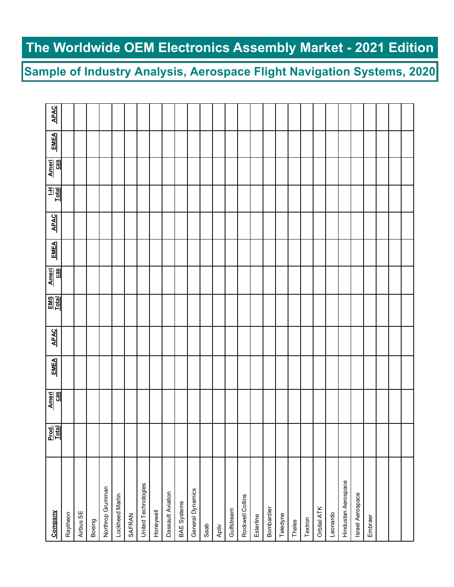**Sample of Industry Analysis, Aerospace Flight Navigation Systems, 2020**